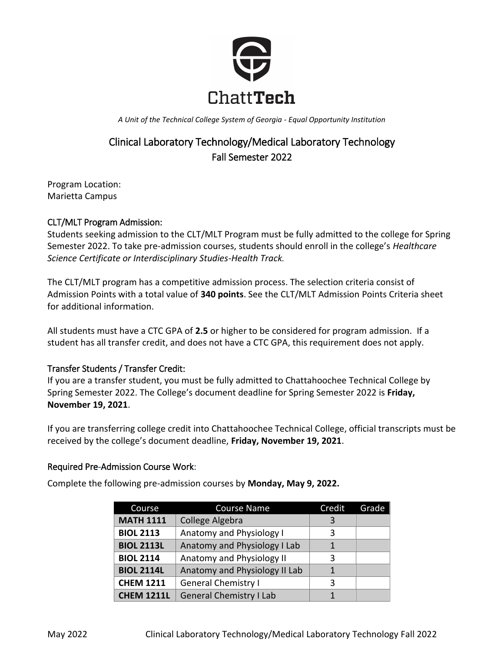

*A Unit of the Technical College System of Georgia - Equal Opportunity Institution*

# Clinical Laboratory Technology/Medical Laboratory Technology Fall Semester 2022

Program Location: Marietta Campus

## CLT/MLT Program Admission:

Students seeking admission to the CLT/MLT Program must be fully admitted to the college for Spring Semester 2022. To take pre-admission courses, students should enroll in the college's *Healthcare Science Certificate or Interdisciplinary Studies-Health Track.* 

The CLT/MLT program has a competitive admission process. The selection criteria consist of Admission Points with a total value of **340 points**. See the CLT/MLT Admission Points Criteria sheet for additional information.

All students must have a CTC GPA of **2.5** or higher to be considered for program admission. If a student has all transfer credit, and does not have a CTC GPA, this requirement does not apply.

## Transfer Students / Transfer Credit:

If you are a transfer student, you must be fully admitted to Chattahoochee Technical College by Spring Semester 2022. The College's document deadline for Spring Semester 2022 is **Friday, November 19, 2021**.

If you are transferring college credit into Chattahoochee Technical College, official transcripts must be received by the college's document deadline, **Friday, November 19, 2021**.

## Required Pre-Admission Course Work:

Complete the following pre-admission courses by **Monday, May 9, 2022.**

| Course            | Course Name                    | Credit | Grade |
|-------------------|--------------------------------|--------|-------|
| <b>MATH 1111</b>  | College Algebra                | 3      |       |
| <b>BIOL 2113</b>  | Anatomy and Physiology I       | 3      |       |
| <b>BIOL 2113L</b> | Anatomy and Physiology I Lab   | 1      |       |
| <b>BIOL 2114</b>  | Anatomy and Physiology II      | 3      |       |
| <b>BIOL 2114L</b> | Anatomy and Physiology II Lab  |        |       |
| <b>CHEM 1211</b>  | <b>General Chemistry I</b>     | 3      |       |
| <b>CHEM 1211L</b> | <b>General Chemistry I Lab</b> |        |       |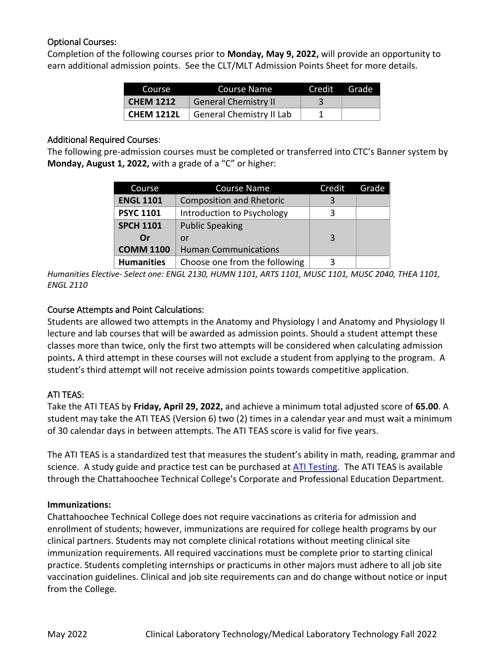# Optional Courses:

Completion of the following courses prior to **Monday, May 9, 2022,** will provide an opportunity to earn additional admission points. See the CLT/MLT Admission Points Sheet for more details.

| Course            | Course Name                 | Credit Grade |  |
|-------------------|-----------------------------|--------------|--|
| <b>CHEM 1212</b>  | <b>General Chemistry II</b> |              |  |
| <b>CHEM 1212L</b> | General Chemistry II Lab    |              |  |

### Additional Required Courses:

The following pre-admission courses must be completed or transferred into CTC's Banner system by **Monday, August 1, 2022,** with a grade of a "C" or higher:

| Course            | <b>Course Name</b>              | Credit | Grade |
|-------------------|---------------------------------|--------|-------|
| <b>ENGL 1101</b>  | <b>Composition and Rhetoric</b> | 3      |       |
| <b>PSYC 1101</b>  | Introduction to Psychology      | ζ      |       |
| <b>SPCH 1101</b>  | <b>Public Speaking</b>          |        |       |
| Or                | or                              | 3      |       |
| <b>COMM 1100</b>  | <b>Human Communications</b>     |        |       |
| <b>Humanities</b> | Choose one from the following   | ੨      |       |

*Humanities Elective- Select one: ENGL 2130, HUMN 1101, ARTS 1101, MUSC 1101, MUSC 2040, THEA 1101, ENGL 2110*

# Course Attempts and Point Calculations:

Students are allowed two attempts in the Anatomy and Physiology I and Anatomy and Physiology II lecture and lab courses that will be awarded as admission points. Should a student attempt these classes more than twice, only the first two attempts will be considered when calculating admission points**.** A third attempt in these courses will not exclude a student from applying to the program. A student's third attempt will not receive admission points towards competitive application.

# ATI TEAS:

Take the ATI TEAS by **Friday, April 29, 2022,** and achieve a minimum total adjusted score of **65.00**. A student may take the ATI TEAS (Version 6) two (2) times in a calendar year and must wait a minimum of 30 calendar days in between attempts. The ATI TEAS score is valid for five years.

The ATI TEAS is a standardized test that measures the student's ability in math, reading, grammar and science. A study guide and practice test can be purchased at [ATI Testing.](http://www.atitesting.com/) The ATI TEAS is available through the Chattahoochee Technical College's Corporate and Professional Education Department.

## **Immunizations:**

Chattahoochee Technical College does not require vaccinations as criteria for admission and enrollment of students; however, immunizations are required for college health programs by our clinical partners. Students may not complete clinical rotations without meeting clinical site immunization requirements. All required vaccinations must be complete prior to starting clinical practice. Students completing internships or practicums in other majors must adhere to all job site vaccination guidelines. Clinical and job site requirements can and do change without notice or input from the College.